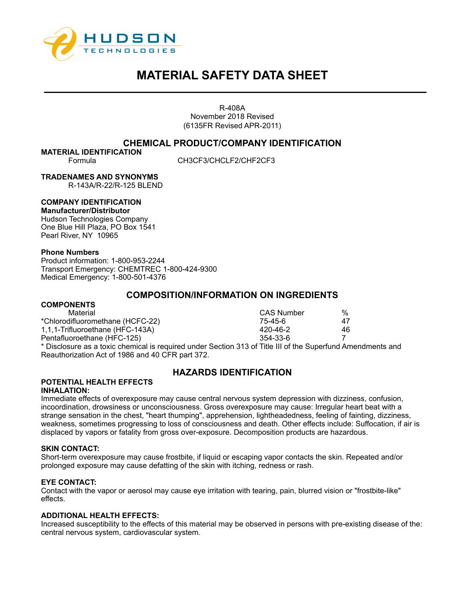

R-408A November 2018 Revised (6135FR Revised APR-2011)

## **CHEMICAL PRODUCT/COMPANY IDENTIFICATION**

**MATERIAL IDENTIFICATION**

Formula CH3CF3/CHCLF2/CHF2CF3

**TRADENAMES AND SYNONYMS**

R-143A/R-22/R-125 BLEND

## **COMPANY IDENTIFICATION**

**Manufacturer/Distributor**  Hudson Technologies Company One Blue Hill Plaza, PO Box 1541 Pearl River, NY 10965

#### **Phone Numbers**

Product information: 1-800-953-2244 Transport Emergency: CHEMTREC 1-800-424-9300 Medical Emergency: 1-800-501-4376

## **COMPOSITION/INFORMATION ON INGREDIENTS**

#### **COMPONENTS**

| Material                                                                                            | CAS Number | %  |
|-----------------------------------------------------------------------------------------------------|------------|----|
| *Chlorodifluoromethane (HCFC-22)                                                                    | 75-45-6    | 47 |
| 1,1,1-Trifluoroethane (HFC-143A)                                                                    | 420-46-2   | 46 |
| Pentafluoroethane (HFC-125)                                                                         | 354-33-6   |    |
| * Disclosure as a toxic chemical is required under Section 313 of Title III of the Superfund Amer * |            |    |

\* Disclosure as a toxic chemical is required under Section 313 of Title III of the Superfund Amendments and Reauthorization Act of 1986 and 40 CFR part 372.

# **HAZARDS IDENTIFICATION**

#### **POTENTIAL HEALTH EFFECTS INHALATION:**

Immediate effects of overexposure may cause central nervous system depression with dizziness, confusion, incoordination, drowsiness or unconsciousness. Gross overexposure may cause: Irregular heart beat with a strange sensation in the chest, "heart thumping", apprehension, lightheadedness, feeling of fainting, dizziness, weakness, sometimes progressing to loss of consciousness and death. Other effects include: Suffocation, if air is displaced by vapors or fatality from gross over-exposure. Decomposition products are hazardous.

#### **SKIN CONTACT:**

Short-term overexposure may cause frostbite, if liquid or escaping vapor contacts the skin. Repeated and/or prolonged exposure may cause defatting of the skin with itching, redness or rash.

#### **EYE CONTACT:**

Contact with the vapor or aerosol may cause eye irritation with tearing, pain, blurred vision or "frostbite-like" effects.

#### **ADDITIONAL HEALTH EFFECTS:**

Increased susceptibility to the effects of this material may be observed in persons with pre-existing disease of the: central nervous system, cardiovascular system.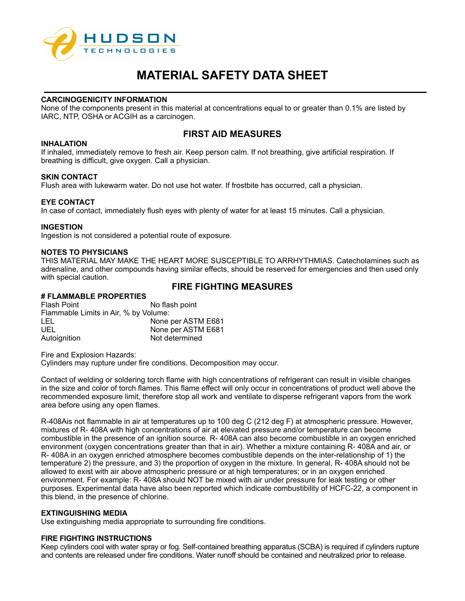

## **CARCINOGENICITY INFORMATION**

None of the components present in this material at concentrations equal to or greater than 0.1% are listed by IARC, NTP, OSHA or ACGIH as a carcinogen.

# **FIRST AID MEASURES**

## **INHALATION**

If inhaled, immediately remove to fresh air. Keep person calm. If not breathing, give artificial respiration. If breathing is difficult, give oxygen. Call a physician.

#### **SKIN CONTACT**

Flush area with lukewarm water. Do not use hot water. If frostbite has occurred, call a physician.

#### **EYE CONTACT**

In case of contact, immediately flush eyes with plenty of water for at least 15 minutes. Call a physician.

#### **INGESTION**

Ingestion is not considered a potential route of exposure.

## **NOTES TO PHYSICIANS**

THIS MATERIAL MAY MAKE THE HEART MORE SUSCEPTIBLE TO ARRHYTHMIAS. Catecholamines such as adrenaline, and other compounds having similar effects, should be reserved for emergencies and then used only with special caution.

## **FIRE FIGHTING MEASURES**

## **# FLAMMABLE PROPERTIES**

Flash Point No flash point Flammable Limits in Air, % by Volume: LEL None per ASTM E681 None per ASTM E681 Autoignition Not determined

Fire and Explosion Hazards:

Cylinders may rupture under fire conditions. Decomposition may occur.

Contact of welding or soldering torch flame with high concentrations of refrigerant can result in visible changes in the size and color of torch flames. This flame effect will only occur in concentrations of product well above the recommended exposure limit, therefore stop all work and ventilate to disperse refrigerant vapors from the work area before using any open flames.

R-408Ais not flammable in air at temperatures up to 100 deg C (212 deg F) at atmospheric pressure. However, mixtures of R- 408A with high concentrations of air at elevated pressure and/or temperature can become combustible in the presence of an ignition source. R- 408A can also become combustible in an oxygen enriched environment (oxygen concentrations greater than that in air). Whether a mixture containing R- 408A and air, or R- 408A in an oxygen enriched atmosphere becomes combustible depends on the inter-relationship of 1) the temperature 2) the pressure, and 3) the proportion of oxygen in the mixture. In general, R- 408A should not be allowed to exist with air above atmospheric pressure or at high temperatures; or in an oxygen enriched environment. For example: R- 408A should NOT be mixed with air under pressure for leak testing or other purposes. Experimental data have also been reported which indicate combustibility of HCFC-22, a component in this blend, in the presence of chlorine.

#### **EXTINGUISHING MEDIA**

Use extinguishing media appropriate to surrounding fire conditions.

#### **FIRE FIGHTING INSTRUCTIONS**

Keep cylinders cool with water spray or fog. Self-contained breathing apparatus (SCBA) is required if cylinders rupture and contents are released under fire conditions. Water runoff should be contained and neutralized prior to release.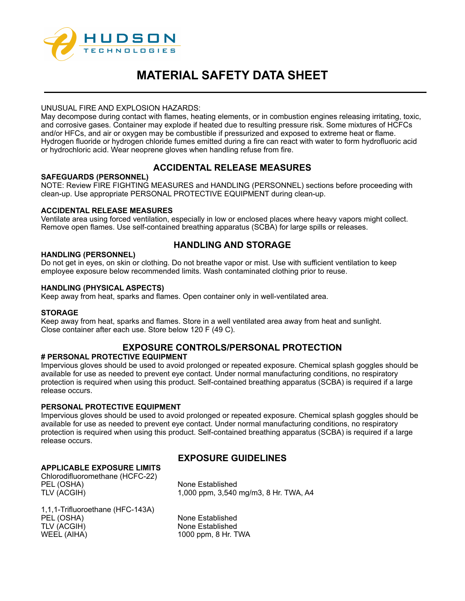

## UNUSUAL FIRE AND EXPLOSION HAZARDS:

May decompose during contact with flames, heating elements, or in combustion engines releasing irritating, toxic, and corrosive gases. Container may explode if heated due to resulting pressure risk. Some mixtures of HCFCs and/or HFCs, and air or oxygen may be combustible if pressurized and exposed to extreme heat or flame. Hydrogen fluoride or hydrogen chloride fumes emitted during a fire can react with water to form hydrofluoric acid or hydrochloric acid. Wear neoprene gloves when handling refuse from fire.

# **ACCIDENTAL RELEASE MEASURES**

## **SAFEGUARDS (PERSONNEL)**

NOTE: Review FIRE FIGHTING MEASURES and HANDLING (PERSONNEL) sections before proceeding with clean-up. Use appropriate PERSONAL PROTECTIVE EQUIPMENT during clean-up.

## **ACCIDENTAL RELEASE MEASURES**

Ventilate area using forced ventilation, especially in low or enclosed places where heavy vapors might collect. Remove open flames. Use self-contained breathing apparatus (SCBA) for large spills or releases.

# **HANDLING AND STORAGE**

#### **HANDLING (PERSONNEL)**

Do not get in eyes, on skin or clothing. Do not breathe vapor or mist. Use with sufficient ventilation to keep employee exposure below recommended limits. Wash contaminated clothing prior to reuse.

#### **HANDLING (PHYSICAL ASPECTS)**

Keep away from heat, sparks and flames. Open container only in well-ventilated area.

#### **STORAGE**

Keep away from heat, sparks and flames. Store in a well ventilated area away from heat and sunlight. Close container after each use. Store below 120 F (49 C).

# **EXPOSURE CONTROLS/PERSONAL PROTECTION**

#### **# PERSONAL PROTECTIVE EQUIPMENT**

Impervious gloves should be used to avoid prolonged or repeated exposure. Chemical splash goggles should be available for use as needed to prevent eye contact. Under normal manufacturing conditions, no respiratory protection is required when using this product. Self-contained breathing apparatus (SCBA) is required if a large release occurs.

#### **PERSONAL PROTECTIVE EQUIPMENT**

Impervious gloves should be used to avoid prolonged or repeated exposure. Chemical splash goggles should be available for use as needed to prevent eye contact. Under normal manufacturing conditions, no respiratory protection is required when using this product. Self-contained breathing apparatus (SCBA) is required if a large release occurs.

# **EXPOSURE GUIDELINES**

## **APPLICABLE EXPOSURE LIMITS**

Chlorodifluoromethane (HCFC-22) PEL (OSHA) None Established

TLV (ACGIH) 1,000 ppm, 3,540 mg/m3, 8 Hr. TWA, A4

1,1,1-Trifluoroethane (HFC-143A) PEL (OSHA) None Established<br>TLV (ACGIH) None Established WEEL (AIHA) 1000 ppm, 8 Hr. TWA

None Established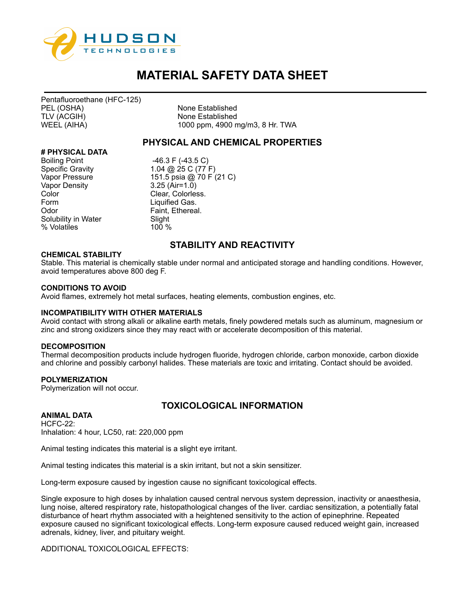

Pentafluoroethane (HFC-125) PEL (OSHA) None Established<br>TLV (ACGIH) None Established

None Established WEEL (AIHA) 1000 ppm, 4900 mg/m3, 8 Hr. TWA

## **PHYSICAL AND CHEMICAL PROPERTIES**

## **# PHYSICAL DATA**

Boiling Point -46.3 F (-43.5 C)<br>Specific Gravity 1.04 @ 25 C (77 I Vapor Density 3.25 (Air=1.0)<br>Color Color Form Liquified Gas. Odor **Faint, Ethereal.** Solubility in Water Slight % Volatiles 100 %

1.04 @ 25 C (77 F) Vapor Pressure 151.5 psia @ 70 F (21 C) Clear, Colorless.

## **STABILITY AND REACTIVITY**

#### **CHEMICAL STABILITY**

Stable. This material is chemically stable under normal and anticipated storage and handling conditions. However, avoid temperatures above 800 deg F.

#### **CONDITIONS TO AVOID**

Avoid flames, extremely hot metal surfaces, heating elements, combustion engines, etc.

#### **INCOMPATIBILITY WITH OTHER MATERIALS**

Avoid contact with strong alkali or alkaline earth metals, finely powdered metals such as aluminum, magnesium or zinc and strong oxidizers since they may react with or accelerate decomposition of this material.

#### **DECOMPOSITION**

Thermal decomposition products include hydrogen fluoride, hydrogen chloride, carbon monoxide, carbon dioxide and chlorine and possibly carbonyl halides. These materials are toxic and irritating. Contact should be avoided.

#### **POLYMERIZATION**

Polymerization will not occur.

#### **ANIMAL DATA**

# **TOXICOLOGICAL INFORMATION**

HCFC-22: Inhalation: 4 hour, LC50, rat: 220,000 ppm

Animal testing indicates this material is a slight eye irritant.

Animal testing indicates this material is a skin irritant, but not a skin sensitizer.

Long-term exposure caused by ingestion cause no significant toxicological effects.

Single exposure to high doses by inhalation caused central nervous system depression, inactivity or anaesthesia, lung noise, altered respiratory rate, histopathological changes of the liver. cardiac sensitization, a potentially fatal disturbance of heart rhythm associated with a heightened sensitivity to the action of epinephrine. Repeated exposure caused no significant toxicological effects. Long-term exposure caused reduced weight gain, increased adrenals, kidney, liver, and pituitary weight.

ADDITIONAL TOXICOLOGICAL EFFECTS: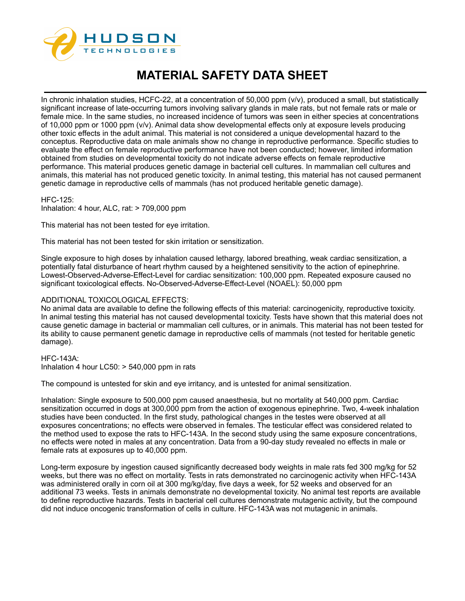

In chronic inhalation studies, HCFC-22, at a concentration of 50,000 ppm (v/v), produced a small, but statistically significant increase of late-occurring tumors involving salivary glands in male rats, but not female rats or male or female mice. In the same studies, no increased incidence of tumors was seen in either species at concentrations of 10,000 ppm or 1000 ppm (v/v). Animal data show developmental effects only at exposure levels producing other toxic effects in the adult animal. This material is not considered a unique developmental hazard to the conceptus. Reproductive data on male animals show no change in reproductive performance. Specific studies to evaluate the effect on female reproductive performance have not been conducted; however, limited information obtained from studies on developmental toxicity do not indicate adverse effects on female reproductive performance. This material produces genetic damage in bacterial cell cultures. In mammalian cell cultures and animals, this material has not produced genetic toxicity. In animal testing, this material has not caused permanent genetic damage in reproductive cells of mammals (has not produced heritable genetic damage).

HFC-125: Inhalation: 4 hour, ALC, rat: > 709,000 ppm

This material has not been tested for eye irritation.

This material has not been tested for skin irritation or sensitization.

Single exposure to high doses by inhalation caused lethargy, labored breathing, weak cardiac sensitization, a potentially fatal disturbance of heart rhythm caused by a heightened sensitivity to the action of epinephrine. Lowest-Observed-Adverse-Effect-Level for cardiac sensitization: 100,000 ppm. Repeated exposure caused no significant toxicological effects. No-Observed-Adverse-Effect-Level (NOAEL): 50,000 ppm

#### ADDITIONAL TOXICOLOGICAL EFFECTS:

No animal data are available to define the following effects of this material: carcinogenicity, reproductive toxicity. In animal testing this material has not caused developmental toxicity. Tests have shown that this material does not cause genetic damage in bacterial or mammalian cell cultures, or in animals. This material has not been tested for its ability to cause permanent genetic damage in reproductive cells of mammals (not tested for heritable genetic damage).

HFC-143A: Inhalation 4 hour LC50: > 540,000 ppm in rats

The compound is untested for skin and eye irritancy, and is untested for animal sensitization.

Inhalation: Single exposure to 500,000 ppm caused anaesthesia, but no mortality at 540,000 ppm. Cardiac sensitization occurred in dogs at 300,000 ppm from the action of exogenous epinephrine. Two, 4-week inhalation studies have been conducted. In the first study, pathological changes in the testes were observed at all exposures concentrations; no effects were observed in females. The testicular effect was considered related to the method used to expose the rats to HFC-143A. In the second study using the same exposure concentrations, no effects were noted in males at any concentration. Data from a 90-day study revealed no effects in male or female rats at exposures up to 40,000 ppm.

Long-term exposure by ingestion caused significantly decreased body weights in male rats fed 300 mg/kg for 52 weeks, but there was no effect on mortality. Tests in rats demonstrated no carcinogenic activity when HFC-143A was administered orally in corn oil at 300 mg/kg/day, five days a week, for 52 weeks and observed for an additional 73 weeks. Tests in animals demonstrate no developmental toxicity. No animal test reports are available to define reproductive hazards. Tests in bacterial cell cultures demonstrate mutagenic activity, but the compound did not induce oncogenic transformation of cells in culture. HFC-143A was not mutagenic in animals.